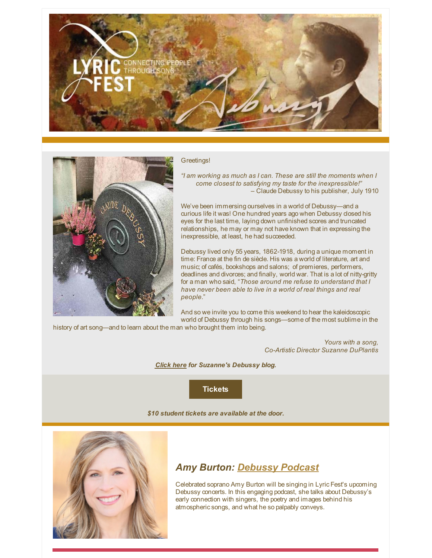



Greetings!

*"I am working as much as I can. These are still the moments when I come closest to satisfying my taste for the inexpressible!" –* Claude Debussy to his publisher, July 1910

We've been immersing ourselves in a world of Debussy—and a curious life it was! One hundred years ago when Debussy closed his eyes for the last time, laying down unfinished scores and truncated relationships, he may or may not have known that in expressing the inexpressible, at least, he had succeeded.

Debussy lived only 55 years, 1862-1918, during a unique moment in time: France at the fin de siècle. His was a world of literature, art and music; of cafés, bookshops and salons; of premieres, performers, deadlines and divorces; and finally, world war. That is a lot of nitty-gritty for a man who said, "*Those around me refuse to understand that I have never been able to live in a world of real things and real people.*"

And so we invite you to come this weekend to hear the kaleidoscopic world of Debussy through his songs—some of the most sublime in the history of art song—and to learn about the man who brought them into being.

> *Yours with a song, Co-Artistic Director Suzanne DuPlantis*

*[Click here](http://lyricfest.org/category/news/blog/) for Suzanne's Debussy blog.*

**[Tickets](https://co.clickandpledge.com/advanced/default.aspx?wid=46035)**

*\$10 student tickets are available at the door.*



## *Amy Burton: [Debussy Podcast](http://lyricfest.org/media-2/amy-burton-debussy-podcast/)*

Celebrated soprano Amy Burton will be singing in Lyric Fest's upcoming Debussy concerts. In this engaging podcast, she talks about Debussy's early connection with singers, the poetry and images behind his atmospheric songs, and what he so palpably conveys.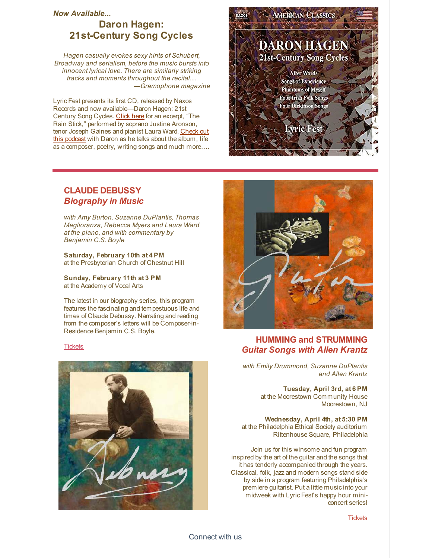#### *Now Available...*

# **Daron Hagen: 21st-Century Song Cycles**

*Hagen casually evokes sexy hints of Schubert, Broadway and serialism, before the music bursts into innocent lyrical love. There are similarly striking tracks and moments throughout the recital.... —Gramophone magazine*

Lyric Fest presents its first CD, released by Naxos Records and now available—Daron Hagen: 21st Century Song Cycles. [Click here](http://lyricfest.org/track-04/) for an excerpt, "The Rain Stick," performed by soprano Justine Aronson, [tenor Joseph Gaines and pianist Laura Ward. Check out](http://lyricfest.org/media/lyric-fest-podcast/) this podcast with Daron as he talks about the album, life as a composer, poetry, writing songs and much more….



### **CLAUDE DEBUSSY** *Biography in Music*

*with Amy Burton, Suzanne DuPlantis, Thomas Meglioranza, Rebecca Myers and Laura Ward at the piano, and with commentary by [Benjamin C.S. Boyle](http://lyricfest.org/current-artists/previous-collaborators//#artist-701)*

**Saturday, February 10th at 4 PM** at the Presbyterian Church of Chestnut Hill

**Sunday, February 11th at 3 PM** at the Academy of Vocal Arts

The latest in our biography series, this program features the fascinating and tempestuous life and times of Claude Debussy. Narrating and reading from the composer's letters will be Composer-in-Residence Benjamin C.S. Boyle.

#### **[Tickets](https://co.clickandpledge.com/advanced/default.aspx?wid=46035)**





### **HUMMING and STRUMMING** *Guitar Songs with Allen Krantz*

*with Emily Drummond, Suzanne DuPlantis and Allen Krantz*

> **Tuesday, April 3rd, at 6 PM** at the Moorestown Community House Moorestown, NJ

**Wednesday, April 4th, at 5:30 PM** at the Philadelphia Ethical Society auditorium Rittenhouse Square, Philadelphia

Join us for this winsome and fun program inspired by the art of the guitar and the songs that it has tenderly accompanied through the years. Classical, folk, jazz and modern songs stand side by side in a program featuring Philadelphia's premiere guitarist. Put a little music into your midweek with Lyric Fest's happy hour miniconcert series!

**[Tickets](https://co.clickandpledge.com/advanced/default.aspx?wid=46035)**